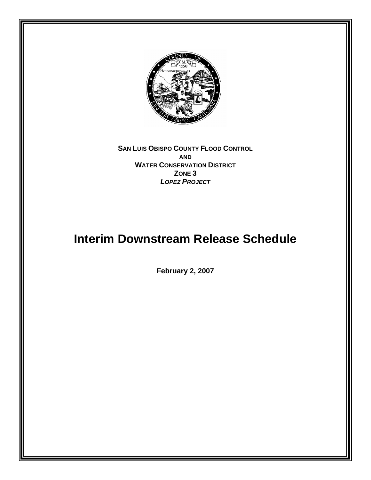

**SAN LUIS OBISPO COUNTY FLOOD CONTROL AND WATER CONSERVATION DISTRICT ZONE 3**  *LOPEZ PROJECT*

# **Interim Downstream Release Schedule**

**February 2, 2007**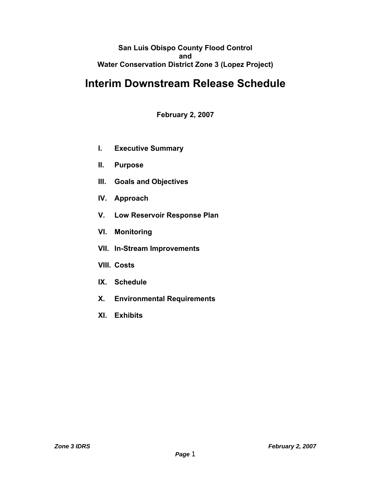## **San Luis Obispo County Flood Control and Water Conservation District Zone 3 (Lopez Project)**

# **Interim Downstream Release Schedule**

**February 2, 2007** 

- **I. Executive Summary**
- **II. Purpose**
- **III. Goals and Objectives**
- **IV. Approach**
- **V. Low Reservoir Response Plan**
- **VI. Monitoring**
- **VII. In-Stream Improvements**
- **VIII. Costs**
- **IX. Schedule**
- **X. Environmental Requirements**
- **XI. Exhibits**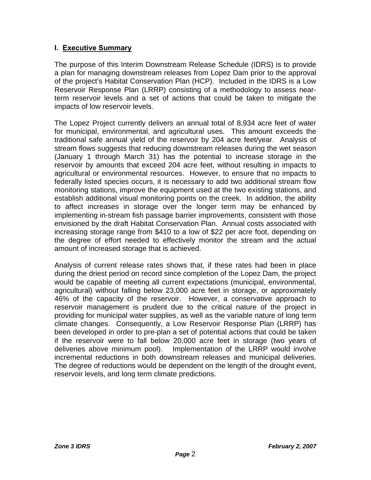# **I. Executive Summary**

The purpose of this Interim Downstream Release Schedule (IDRS) is to provide a plan for managing downstream releases from Lopez Dam prior to the approval of the project's Habitat Conservation Plan (HCP). Included in the IDRS is a Low Reservoir Response Plan (LRRP) consisting of a methodology to assess nearterm reservoir levels and a set of actions that could be taken to mitigate the impacts of low reservoir levels.

The Lopez Project currently delivers an annual total of 8,934 acre feet of water for municipal, environmental, and agricultural uses. This amount exceeds the traditional safe annual yield of the reservoir by 204 acre feet/year. Analysis of stream flows suggests that reducing downstream releases during the wet season (January 1 through March 31) has the potential to increase storage in the reservoir by amounts that exceed 204 acre feet, without resulting in impacts to agricultural or environmental resources. However, to ensure that no impacts to federally listed species occurs, it is necessary to add two additional stream flow monitoring stations, improve the equipment used at the two existing stations, and establish additional visual monitoring points on the creek. In addition, the ability to affect increases in storage over the longer term may be enhanced by implementing in-stream fish passage barrier improvements, consistent with those envisioned by the draft Habitat Conservation Plan. Annual costs associated with increasing storage range from \$410 to a low of \$22 per acre foot, depending on the degree of effort needed to effectively monitor the stream and the actual amount of increased storage that is achieved.

Analysis of current release rates shows that, if these rates had been in place during the driest period on record since completion of the Lopez Dam, the project would be capable of meeting all current expectations (municipal, environmental, agricultural) without falling below 23,000 acre feet in storage, or approximately 46% of the capacity of the reservoir. However, a conservative approach to reservoir management is prudent due to the critical nature of the project in providing for municipal water supplies, as well as the variable nature of long term climate changes. Consequently, a Low Reservoir Response Plan (LRRP) has been developed in order to pre-plan a set of potential actions that could be taken if the reservoir were to fall below 20,000 acre feet in storage (two years of deliveries above minimum pool). Implementation of the LRRP would involve incremental reductions in both downstream releases and municipal deliveries. The degree of reductions would be dependent on the length of the drought event, reservoir levels, and long term climate predictions.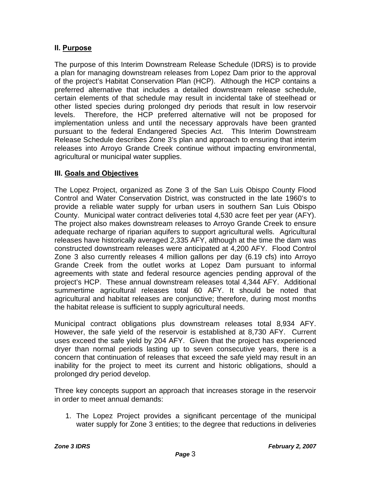# **II. Purpose**

The purpose of this Interim Downstream Release Schedule (IDRS) is to provide a plan for managing downstream releases from Lopez Dam prior to the approval of the project's Habitat Conservation Plan (HCP). Although the HCP contains a preferred alternative that includes a detailed downstream release schedule, certain elements of that schedule may result in incidental take of steelhead or other listed species during prolonged dry periods that result in low reservoir levels. Therefore, the HCP preferred alternative will not be proposed for implementation unless and until the necessary approvals have been granted pursuant to the federal Endangered Species Act. This Interim Downstream Release Schedule describes Zone 3's plan and approach to ensuring that interim releases into Arroyo Grande Creek continue without impacting environmental, agricultural or municipal water supplies.

## **III. Goals and Objectives**

The Lopez Project, organized as Zone 3 of the San Luis Obispo County Flood Control and Water Conservation District, was constructed in the late 1960's to provide a reliable water supply for urban users in southern San Luis Obispo County. Municipal water contract deliveries total 4,530 acre feet per year (AFY). The project also makes downstream releases to Arroyo Grande Creek to ensure adequate recharge of riparian aquifers to support agricultural wells. Agricultural releases have historically averaged 2,335 AFY, although at the time the dam was constructed downstream releases were anticipated at 4,200 AFY. Flood Control Zone 3 also currently releases 4 million gallons per day (6.19 cfs) into Arroyo Grande Creek from the outlet works at Lopez Dam pursuant to informal agreements with state and federal resource agencies pending approval of the project's HCP. These annual downstream releases total 4,344 AFY. Additional summertime agricultural releases total 60 AFY. It should be noted that agricultural and habitat releases are conjunctive; therefore, during most months the habitat release is sufficient to supply agricultural needs.

Municipal contract obligations plus downstream releases total 8,934 AFY. However, the safe yield of the reservoir is established at 8,730 AFY. Current uses exceed the safe yield by 204 AFY. Given that the project has experienced dryer than normal periods lasting up to seven consecutive years, there is a concern that continuation of releases that exceed the safe yield may result in an inability for the project to meet its current and historic obligations, should a prolonged dry period develop.

Three key concepts support an approach that increases storage in the reservoir in order to meet annual demands:

1. The Lopez Project provides a significant percentage of the municipal water supply for Zone 3 entities; to the degree that reductions in deliveries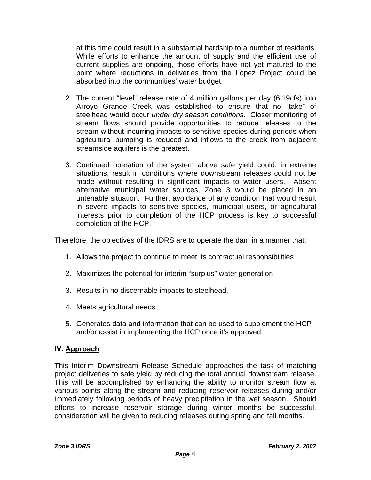at this time could result in a substantial hardship to a number of residents. While efforts to enhance the amount of supply and the efficient use of current supplies are ongoing, those efforts have not yet matured to the point where reductions in deliveries from the Lopez Project could be absorbed into the communities' water budget.

- 2. The current "level" release rate of 4 million gallons per day (6.19cfs) into Arroyo Grande Creek was established to ensure that no "take" of steelhead would occur *under dry season conditions*. Closer monitoring of stream flows should provide opportunities to reduce releases to the stream without incurring impacts to sensitive species during periods when agricultural pumping is reduced and inflows to the creek from adjacent streamside aquifers is the greatest.
- 3. Continued operation of the system above safe yield could, in extreme situations, result in conditions where downstream releases could not be made without resulting in significant impacts to water users. Absent alternative municipal water sources, Zone 3 would be placed in an untenable situation. Further, avoidance of any condition that would result in severe impacts to sensitive species, municipal users, or agricultural interests prior to completion of the HCP process is key to successful completion of the HCP.

Therefore, the objectives of the IDRS are to operate the dam in a manner that:

- 1. Allows the project to continue to meet its contractual responsibilities
- 2. Maximizes the potential for interim "surplus" water generation
- 3. Results in no discernable impacts to steelhead.
- 4. Meets agricultural needs
- 5. Generates data and information that can be used to supplement the HCP and/or assist in implementing the HCP once it's approved.

#### **IV. Approach**

This Interim Downstream Release Schedule approaches the task of matching project deliveries to safe yield by reducing the total annual downstream release. This will be accomplished by enhancing the ability to monitor stream flow at various points along the stream and reducing reservoir releases during and/or immediately following periods of heavy precipitation in the wet season. Should efforts to increase reservoir storage during winter months be successful, consideration will be given to reducing releases during spring and fall months.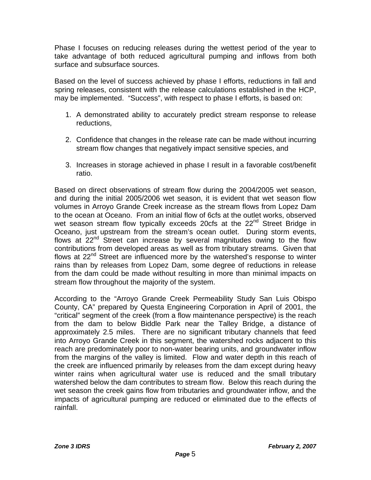Phase I focuses on reducing releases during the wettest period of the year to take advantage of both reduced agricultural pumping and inflows from both surface and subsurface sources.

Based on the level of success achieved by phase I efforts, reductions in fall and spring releases, consistent with the release calculations established in the HCP, may be implemented. "Success", with respect to phase I efforts, is based on:

- 1. A demonstrated ability to accurately predict stream response to release reductions,
- 2. Confidence that changes in the release rate can be made without incurring stream flow changes that negatively impact sensitive species, and
- 3. Increases in storage achieved in phase I result in a favorable cost/benefit ratio.

Based on direct observations of stream flow during the 2004/2005 wet season, and during the initial 2005/2006 wet season, it is evident that wet season flow volumes in Arroyo Grande Creek increase as the stream flows from Lopez Dam to the ocean at Oceano. From an initial flow of 6cfs at the outlet works, observed wet season stream flow typically exceeds 20cfs at the  $22<sup>nd</sup>$  Street Bridge in Oceano, just upstream from the stream's ocean outlet. During storm events, flows at  $22^{nd}$  Street can increase by several magnitudes owing to the flow contributions from developed areas as well as from tributary streams. Given that flows at 22<sup>nd</sup> Street are influenced more by the watershed's response to winter rains than by releases from Lopez Dam, some degree of reductions in release from the dam could be made without resulting in more than minimal impacts on stream flow throughout the majority of the system.

According to the "Arroyo Grande Creek Permeability Study San Luis Obispo County, CA" prepared by Questa Engineering Corporation in April of 2001, the "critical" segment of the creek (from a flow maintenance perspective) is the reach from the dam to below Biddle Park near the Talley Bridge, a distance of approximately 2.5 miles. There are no significant tributary channels that feed into Arroyo Grande Creek in this segment, the watershed rocks adjacent to this reach are predominately poor to non-water bearing units, and groundwater inflow from the margins of the valley is limited. Flow and water depth in this reach of the creek are influenced primarily by releases from the dam except during heavy winter rains when agricultural water use is reduced and the small tributary watershed below the dam contributes to stream flow. Below this reach during the wet season the creek gains flow from tributaries and groundwater inflow, and the impacts of agricultural pumping are reduced or eliminated due to the effects of rainfall.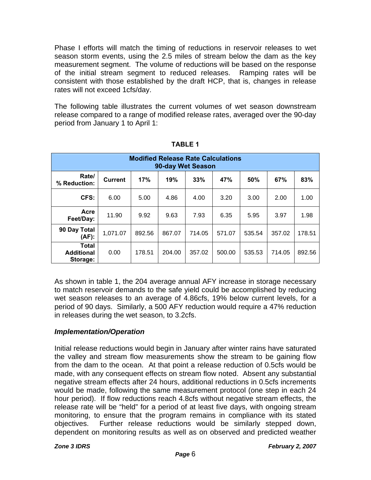Phase I efforts will match the timing of reductions in reservoir releases to wet season storm events, using the 2.5 miles of stream below the dam as the key measurement segment. The volume of reductions will be based on the response of the initial stream segment to reduced releases. Ramping rates will be consistent with those established by the draft HCP, that is, changes in release rates will not exceed 1cfs/day.

The following table illustrates the current volumes of wet season downstream release compared to a range of modified release rates, averaged over the 90-day period from January 1 to April 1:

| <b>Modified Release Rate Calculations</b><br>90-day Wet Season |                |        |        |        |        |        |        |        |
|----------------------------------------------------------------|----------------|--------|--------|--------|--------|--------|--------|--------|
| Rate/<br>% Reduction:                                          | <b>Current</b> | 17%    | 19%    | 33%    | 47%    | 50%    | 67%    | 83%    |
| CFS:                                                           | 6.00           | 5.00   | 4.86   | 4.00   | 3.20   | 3.00   | 2.00   | 1.00   |
| Acre<br>Feet/Day:                                              | 11.90          | 9.92   | 9.63   | 7.93   | 6.35   | 5.95   | 3.97   | 1.98   |
| 90 Day Total<br>(AF):                                          | 1,071.07       | 892.56 | 867.07 | 714.05 | 571.07 | 535.54 | 357.02 | 178.51 |
| <b>Total</b><br><b>Additional</b><br>Storage:                  | 0.00           | 178.51 | 204.00 | 357.02 | 500.00 | 535.53 | 714.05 | 892.56 |

**TABLE 1** 

As shown in table 1, the 204 average annual AFY increase in storage necessary to match reservoir demands to the safe yield could be accomplished by reducing wet season releases to an average of 4.86cfs, 19% below current levels, for a period of 90 days. Similarly, a 500 AFY reduction would require a 47% reduction in releases during the wet season, to 3.2cfs.

#### *Implementation/Operation*

Initial release reductions would begin in January after winter rains have saturated the valley and stream flow measurements show the stream to be gaining flow from the dam to the ocean. At that point a release reduction of 0.5cfs would be made, with any consequent effects on stream flow noted. Absent any substantial negative stream effects after 24 hours, additional reductions in 0.5cfs increments would be made, following the same measurement protocol (one step in each 24 hour period). If flow reductions reach 4.8cfs without negative stream effects, the release rate will be "held" for a period of at least five days, with ongoing stream monitoring, to ensure that the program remains in compliance with its stated objectives. Further release reductions would be similarly stepped down, dependent on monitoring results as well as on observed and predicted weather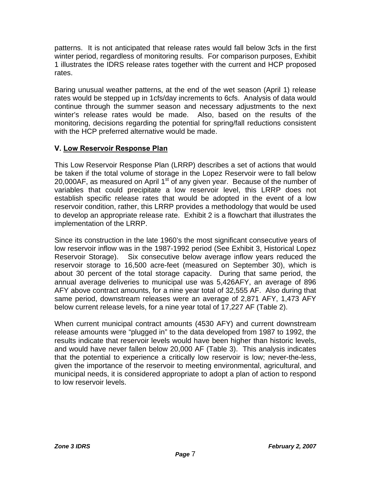patterns. It is not anticipated that release rates would fall below 3cfs in the first winter period, regardless of monitoring results. For comparison purposes, Exhibit 1 illustrates the IDRS release rates together with the current and HCP proposed rates.

Baring unusual weather patterns, at the end of the wet season (April 1) release rates would be stepped up in 1cfs/day increments to 6cfs. Analysis of data would continue through the summer season and necessary adjustments to the next winter's release rates would be made. Also, based on the results of the monitoring, decisions regarding the potential for spring/fall reductions consistent with the HCP preferred alternative would be made.

# **V. Low Reservoir Response Plan**

This Low Reservoir Response Plan (LRRP) describes a set of actions that would be taken if the total volume of storage in the Lopez Reservoir were to fall below 20,000AF, as measured on April 1<sup>st</sup> of any given year. Because of the number of variables that could precipitate a low reservoir level, this LRRP does not establish specific release rates that would be adopted in the event of a low reservoir condition, rather, this LRRP provides a methodology that would be used to develop an appropriate release rate. Exhibit 2 is a flowchart that illustrates the implementation of the LRRP.

Since its construction in the late 1960's the most significant consecutive years of low reservoir inflow was in the 1987-1992 period (See Exhibit 3, Historical Lopez Reservoir Storage). Six consecutive below average inflow years reduced the reservoir storage to 16,500 acre-feet (measured on September 30), which is about 30 percent of the total storage capacity. During that same period, the annual average deliveries to municipal use was 5,426AFY, an average of 896 AFY above contract amounts, for a nine year total of 32,555 AF. Also during that same period, downstream releases were an average of 2,871 AFY, 1,473 AFY below current release levels, for a nine year total of 17,227 AF (Table 2).

When current municipal contract amounts (4530 AFY) and current downstream release amounts were "plugged in" to the data developed from 1987 to 1992, the results indicate that reservoir levels would have been higher than historic levels, and would have never fallen below 20,000 AF (Table 3). This analysis indicates that the potential to experience a critically low reservoir is low; never-the-less, given the importance of the reservoir to meeting environmental, agricultural, and municipal needs, it is considered appropriate to adopt a plan of action to respond to low reservoir levels.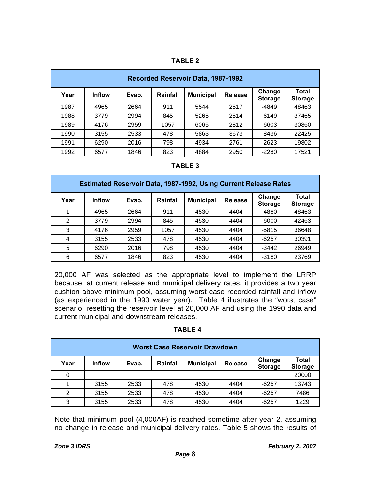| . .<br>u |  |  |
|----------|--|--|
|          |  |  |

| <b>Recorded Reservoir Data, 1987-1992</b> |               |       |          |                  |                |                          |                                |
|-------------------------------------------|---------------|-------|----------|------------------|----------------|--------------------------|--------------------------------|
| Year                                      | <b>Inflow</b> | Evap. | Rainfall | <b>Municipal</b> | <b>Release</b> | Change<br><b>Storage</b> | <b>Total</b><br><b>Storage</b> |
| 1987                                      | 4965          | 2664  | 911      | 5544             | 2517           | $-4849$                  | 48463                          |
| 1988                                      | 3779          | 2994  | 845      | 5265             | 2514           | $-6149$                  | 37465                          |
| 1989                                      | 4176          | 2959  | 1057     | 6065             | 2812           | $-6603$                  | 30860                          |
| 1990                                      | 3155          | 2533  | 478      | 5863             | 3673           | $-8436$                  | 22425                          |
| 1991                                      | 6290          | 2016  | 798      | 4934             | 2761           | $-2623$                  | 19802                          |
| 1992                                      | 6577          | 1846  | 823      | 4884             | 2950           | $-2280$                  | 17521                          |

#### **TABLE 3**

| <b>Estimated Reservoir Data, 1987-1992, Using Current Release Rates</b> |               |       |          |                  |                |                          |                         |
|-------------------------------------------------------------------------|---------------|-------|----------|------------------|----------------|--------------------------|-------------------------|
| Year                                                                    | <b>Inflow</b> | Evap. | Rainfall | <b>Municipal</b> | <b>Release</b> | Change<br><b>Storage</b> | Total<br><b>Storage</b> |
|                                                                         | 4965          | 2664  | 911      | 4530             | 4404           | $-4880$                  | 48463                   |
| $\overline{2}$                                                          | 3779          | 2994  | 845      | 4530             | 4404           | $-6000$                  | 42463                   |
| 3                                                                       | 4176          | 2959  | 1057     | 4530             | 4404           | $-5815$                  | 36648                   |
| 4                                                                       | 3155          | 2533  | 478      | 4530             | 4404           | $-6257$                  | 30391                   |
| 5                                                                       | 6290          | 2016  | 798      | 4530             | 4404           | $-3442$                  | 26949                   |
| 6                                                                       | 6577          | 1846  | 823      | 4530             | 4404           | $-3180$                  | 23769                   |

20,000 AF was selected as the appropriate level to implement the LRRP because, at current release and municipal delivery rates, it provides a two year cushion above minimum pool, assuming worst case recorded rainfall and inflow (as experienced in the 1990 water year). Table 4 illustrates the "worst case" scenario, resetting the reservoir level at 20,000 AF and using the 1990 data and current municipal and downstream releases.

| ◡<br>$\sim$ |
|-------------|
|-------------|

|      | Worst Case Reservoir Drawdown |       |          |                  |                |                          |                         |
|------|-------------------------------|-------|----------|------------------|----------------|--------------------------|-------------------------|
| Year | <b>Inflow</b>                 | Evap. | Rainfall | <b>Municipal</b> | <b>Release</b> | Change<br><b>Storage</b> | Total<br><b>Storage</b> |
| 0    |                               |       |          |                  |                | 20000                    |                         |
|      | 3155                          | 2533  | 478      | 4530             | 4404           | $-6257$                  | 13743                   |
| 2    | 3155                          | 2533  | 478      | 4530             | 4404           | $-6257$                  | 7486                    |
| 3    | 3155                          | 2533  | 478      | 4530             | 4404           | $-6257$                  | 1229                    |

Note that minimum pool (4,000AF) is reached sometime after year 2, assuming no change in release and municipal delivery rates. Table 5 shows the results of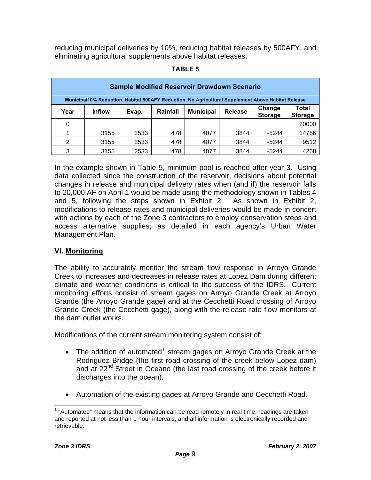<span id="page-9-0"></span>reducing municipal deliveries by 10%, reducing habitat releases by 500AFY, and eliminating agricultural supplements above habitat releases:

#### **TABLE 5**

|      | <b>Sample Modified Reservoir Drawdown Scenario</b>                                                 |       |          |                  |                |                          |                         |  |
|------|----------------------------------------------------------------------------------------------------|-------|----------|------------------|----------------|--------------------------|-------------------------|--|
|      | Municipal10% Reduction, Habitat 500AFY Reduction, No Agricultural Supplement Above Habitat Release |       |          |                  |                |                          |                         |  |
| Year | <b>Inflow</b>                                                                                      | Evap. | Rainfall | <b>Municipal</b> | <b>Release</b> | Change<br><b>Storage</b> | Total<br><b>Storage</b> |  |
| 0    |                                                                                                    |       |          |                  |                |                          | 20000                   |  |
|      | 3155                                                                                               | 2533  | 478      | 4077             | 3844           | -5244                    | 14756                   |  |
| 2    | 3155                                                                                               | 2533  | 478      | 4077             | 3844           | -5244                    | 9512                    |  |
| 3    | 3155                                                                                               | 2533  | 478      | 4077             | 3844           | $-5244$                  | 4268                    |  |

In the example shown in Table 5, minimum pool is reached after year 3. Using data collected since the construction of the reservoir, decisions about potential changes in release and municipal delivery rates when (and if) the reservoir falls to 20,000 AF on April 1 would be made using the methodology shown in Tables 4 and 5, following the steps shown in Exhibit 2. As shown in Exhibit 2, modifications to release rates and municipal deliveries would be made in concert with actions by each of the Zone 3 contractors to employ conservation steps and access alternative supplies, as detailed in each agency's Urban Water Management Plan.

#### **VI. Monitoring**

The ability to accurately monitor the stream flow response in Arroyo Grande Creek to increases and decreases in release rates at Lopez Dam during different climate and weather conditions is critical to the success of the IDRS. Current monitoring efforts consist of stream gages on Arroyo Grande Creek at Arroyo Grande (the Arroyo Grande gage) and at the Cecchetti Road crossing of Arroyo Grande Creek (the Cecchetti gage), along with the release rate flow monitors at the dam outlet works.

Modifications of the current stream monitoring system consist of:

- The addition of automated<sup>[1](#page-9-0)</sup> stream gages on Arroyo Grande Creek at the Rodriguez Bridge (the first road crossing of the creek below Lopez dam) and at 22<sup>nd</sup> Street in Oceano (the last road crossing of the creek before it discharges into the ocean).
- Automation of the existing gages at Arroyo Grande and Cecchetti Road.

 $\overline{a}$ 

 $1$  "Automated" means that the information can be read remotely in real time, readings are taken and reported at not less than 1 hour intervals, and all information is electronically recorded and retrievable.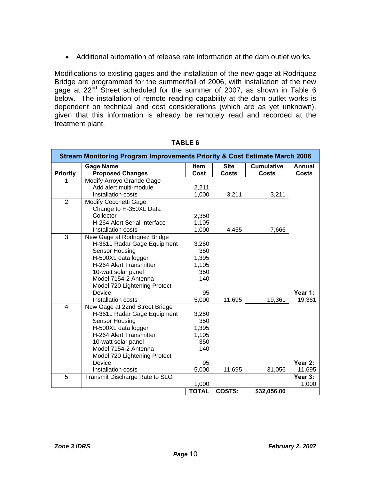• Additional automation of release rate information at the dam outlet works.

Modifications to existing gages and the installation of the new gage at Rodriquez Bridge are programmed for the summer/fall of 2006, with installation of the new gage at 22<sup>nd</sup> Street scheduled for the summer of 2007, as shown in Table 6 below. The installation of remote reading capability at the dam outlet works is dependent on technical and cost considerations (which are as yet unknown), given that this information is already be remotely read and recorded at the treatment plant.

|                 | <b>Stream Monitoring Program Improvements Priority &amp; Cost Estimate March 2006</b> |                     |                             |                                   |                        |  |  |
|-----------------|---------------------------------------------------------------------------------------|---------------------|-----------------------------|-----------------------------------|------------------------|--|--|
| <b>Priority</b> | <b>Gage Name</b><br><b>Proposed Changes</b>                                           | <b>Item</b><br>Cost | <b>Site</b><br><b>Costs</b> | <b>Cumulative</b><br><b>Costs</b> | Annual<br><b>Costs</b> |  |  |
| 1               | Modify Arroyo Grande Gage                                                             |                     |                             |                                   |                        |  |  |
|                 | Add alert multi-module                                                                | 2,211               |                             |                                   |                        |  |  |
|                 | Installation costs                                                                    | 1,000               | 3,211                       | 3,211                             |                        |  |  |
| 2               | <b>Modify Cecchetti Gage</b>                                                          |                     |                             |                                   |                        |  |  |
|                 | Change to H-350XL Data                                                                |                     |                             |                                   |                        |  |  |
|                 | Collector                                                                             | 2,350               |                             |                                   |                        |  |  |
|                 | H-264 Alert Serial Interface                                                          | 1,105               |                             |                                   |                        |  |  |
|                 | Installation costs                                                                    | 1,000               | 4,455                       | 7,666                             |                        |  |  |
| 3               | New Gage at Rodriquez Bridge                                                          |                     |                             |                                   |                        |  |  |
|                 | H-3611 Radar Gage Equipment                                                           | 3,260               |                             |                                   |                        |  |  |
|                 | Sensor Housing                                                                        | 350                 |                             |                                   |                        |  |  |
|                 | H-500XL data logger                                                                   | 1,395               |                             |                                   |                        |  |  |
|                 | H-264 Alert Transmitter                                                               | 1,105               |                             |                                   |                        |  |  |
|                 | 10-watt solar panel                                                                   | 350                 |                             |                                   |                        |  |  |
|                 | Model 7154-2 Antenna                                                                  | 140                 |                             |                                   |                        |  |  |
|                 | Model 720 Lightening Protect                                                          |                     |                             |                                   |                        |  |  |
|                 | Device                                                                                | 95                  |                             |                                   | Year 1:                |  |  |
|                 | Installation costs                                                                    | 5,000               | 11,695                      | 19,361                            | 19,361                 |  |  |
| $\overline{4}$  | New Gage at 22nd Street Bridge                                                        |                     |                             |                                   |                        |  |  |
|                 | H-3611 Radar Gage Equipment                                                           | 3,260               |                             |                                   |                        |  |  |
|                 | Sensor Housing                                                                        | 350                 |                             |                                   |                        |  |  |
|                 | H-500XL data logger<br>H-264 Alert Transmitter                                        | 1,395               |                             |                                   |                        |  |  |
|                 | 10-watt solar panel                                                                   | 1,105<br>350        |                             |                                   |                        |  |  |
|                 | Model 7154-2 Antenna                                                                  | 140                 |                             |                                   |                        |  |  |
|                 | Model 720 Lightening Protect                                                          |                     |                             |                                   |                        |  |  |
|                 | Device                                                                                | 95                  |                             |                                   | Year 2:                |  |  |
|                 | Installation costs                                                                    | 5,000               | 11,695                      | 31,056                            | 11,695                 |  |  |
| $\overline{5}$  | Transmit Discharge Rate to SLO                                                        |                     |                             |                                   | Year 3:                |  |  |
|                 |                                                                                       | 1,000               |                             |                                   | 1,000                  |  |  |
|                 |                                                                                       | <b>TOTAL</b>        | <b>COSTS:</b>               | \$32,056.00                       |                        |  |  |

#### **TABLE 6**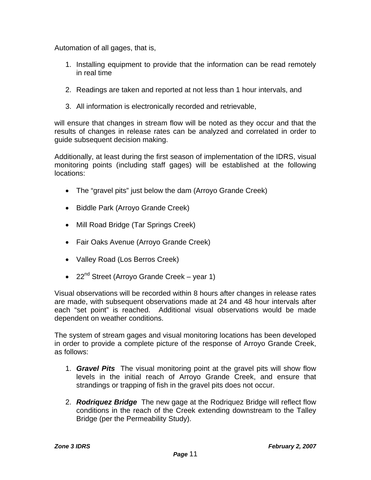Automation of all gages, that is,

- 1. Installing equipment to provide that the information can be read remotely in real time
- 2. Readings are taken and reported at not less than 1 hour intervals, and
- 3. All information is electronically recorded and retrievable,

will ensure that changes in stream flow will be noted as they occur and that the results of changes in release rates can be analyzed and correlated in order to guide subsequent decision making.

Additionally, at least during the first season of implementation of the IDRS, visual monitoring points (including staff gages) will be established at the following locations:

- The "gravel pits" just below the dam (Arroyo Grande Creek)
- Biddle Park (Arroyo Grande Creek)
- Mill Road Bridge (Tar Springs Creek)
- Fair Oaks Avenue (Arroyo Grande Creek)
- Valley Road (Los Berros Creek)
- $22^{nd}$  Street (Arroyo Grande Creek year 1)

Visual observations will be recorded within 8 hours after changes in release rates are made, with subsequent observations made at 24 and 48 hour intervals after each "set point" is reached. Additional visual observations would be made dependent on weather conditions.

The system of stream gages and visual monitoring locations has been developed in order to provide a complete picture of the response of Arroyo Grande Creek, as follows:

- 1. *Gravel Pits* The visual monitoring point at the gravel pits will show flow levels in the initial reach of Arroyo Grande Creek, and ensure that strandings or trapping of fish in the gravel pits does not occur.
- 2. *Rodriquez Bridge* The new gage at the Rodriquez Bridge will reflect flow conditions in the reach of the Creek extending downstream to the Talley Bridge (per the Permeability Study).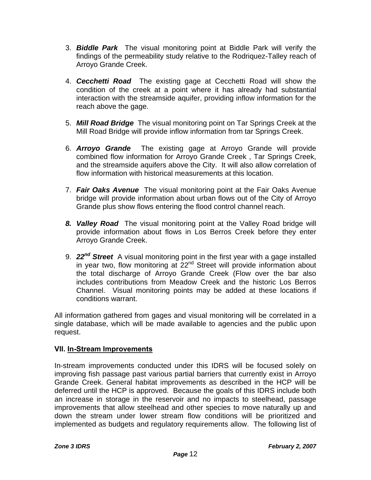- 3. *Biddle Park* The visual monitoring point at Biddle Park will verify the findings of the permeability study relative to the Rodriquez-Talley reach of Arroyo Grande Creek.
- 4. *Cecchetti Road* The existing gage at Cecchetti Road will show the condition of the creek at a point where it has already had substantial interaction with the streamside aquifer, providing inflow information for the reach above the gage.
- 5. *Mill Road Bridge* The visual monitoring point on Tar Springs Creek at the Mill Road Bridge will provide inflow information from tar Springs Creek.
- 6. *Arroyo Grande* The existing gage at Arroyo Grande will provide combined flow information for Arroyo Grande Creek , Tar Springs Creek, and the streamside aquifers above the City. It will also allow correlation of flow information with historical measurements at this location.
- 7. *Fair Oaks Avenue* The visual monitoring point at the Fair Oaks Avenue bridge will provide information about urban flows out of the City of Arroyo Grande plus show flows entering the flood control channel reach.
- *8. Valley Road* The visual monitoring point at the Valley Road bridge will provide information about flows in Los Berros Creek before they enter Arroyo Grande Creek.
- 9. *22nd Street* A visual monitoring point in the first year with a gage installed in year two, flow monitoring at 22<sup>nd</sup> Street will provide information about the total discharge of Arroyo Grande Creek (Flow over the bar also includes contributions from Meadow Creek and the historic Los Berros Channel. Visual monitoring points may be added at these locations if conditions warrant.

All information gathered from gages and visual monitoring will be correlated in a single database, which will be made available to agencies and the public upon request.

# **VII. In-Stream Improvements**

In-stream improvements conducted under this IDRS will be focused solely on improving fish passage past various partial barriers that currently exist in Arroyo Grande Creek. General habitat improvements as described in the HCP will be deferred until the HCP is approved. Because the goals of this IDRS include both an increase in storage in the reservoir and no impacts to steelhead, passage improvements that allow steelhead and other species to move naturally up and down the stream under lower stream flow conditions will be prioritized and implemented as budgets and regulatory requirements allow. The following list of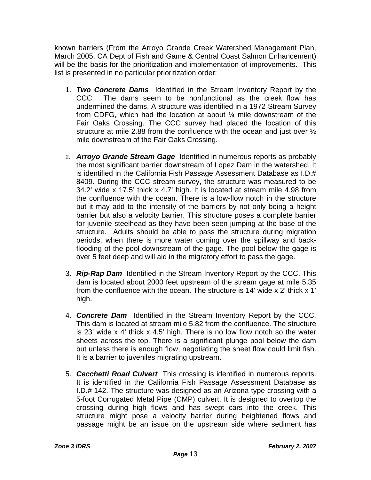known barriers (From the Arroyo Grande Creek Watershed Management Plan, March 2005, CA Dept of Fish and Game & Central Coast Salmon Enhancement) will be the basis for the prioritization and implementation of improvements. This list is presented in no particular prioritization order:

- 1. *Two Concrete Dams* Identified in the Stream Inventory Report by the CCC. The dams seem to be nonfunctional as the creek flow has undermined the dams. A structure was identified in a 1972 Stream Survey from CDFG, which had the location at about ¼ mile downstream of the Fair Oaks Crossing. The CCC survey had placed the location of this structure at mile 2.88 from the confluence with the ocean and just over ½ mile downstream of the Fair Oaks Crossing.
- 2. *Arroyo Grande Stream Gage* Identified in numerous reports as probably the most significant barrier downstream of Lopez Dam in the watershed. It is identified in the California Fish Passage Assessment Database as I.D.# 8409. During the CCC stream survey, the structure was measured to be 34.2' wide x 17.5' thick x 4.7' high. It is located at stream mile 4.98 from the confluence with the ocean. There is a low-flow notch in the structure but it may add to the intensity of the barriers by not only being a height barrier but also a velocity barrier. This structure poses a complete barrier for juvenile steelhead as they have been seen jumping at the base of the structure. Adults should be able to pass the structure during migration periods, when there is more water coming over the spillway and backflooding of the pool downstream of the gage. The pool below the gage is over 5 feet deep and will aid in the migratory effort to pass the gage.
- 3. *Rip-Rap Dam* Identified in the Stream Inventory Report by the CCC. This dam is located about 2000 feet upstream of the stream gage at mile 5.35 from the confluence with the ocean. The structure is 14' wide x 2' thick x 1' high.
- 4. *Concrete Dam* Identified in the Stream Inventory Report by the CCC. This dam is located at stream mile 5.82 from the confluence. The structure is 23' wide x 4' thick x 4.5' high. There is no low flow notch so the water sheets across the top. There is a significant plunge pool below the dam but unless there is enough flow, negotiating the sheet flow could limit fish. It is a barrier to juveniles migrating upstream.
- 5. *Cecchetti Road Culvert* This crossing is identified in numerous reports. It is identified in the California Fish Passage Assessment Database as I.D.# 142. The structure was designed as an Arizona type crossing with a 5-foot Corrugated Metal Pipe (CMP) culvert. It is designed to overtop the crossing during high flows and has swept cars into the creek. This structure might pose a velocity barrier during heightened flows and passage might be an issue on the upstream side where sediment has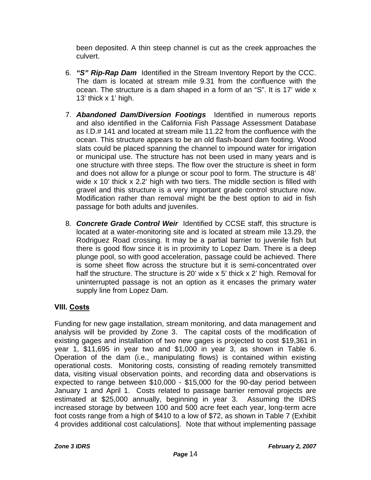been deposited. A thin steep channel is cut as the creek approaches the culvert.

- 6. *"S" Rip-Rap Dam* Identified in the Stream Inventory Report by the CCC. The dam is located at stream mile 9.31 from the confluence with the ocean. The structure is a dam shaped in a form of an "S". It is 17' wide x 13' thick x 1' high.
- 7. *Abandoned Dam/Diversion Footings* Identified in numerous reports and also identified in the California Fish Passage Assessment Database as I.D.# 141 and located at stream mile 11.22 from the confluence with the ocean. This structure appears to be an old flash-board dam footing. Wood slats could be placed spanning the channel to impound water for irrigation or municipal use. The structure has not been used in many years and is one structure with three steps. The flow over the structure is sheet in form and does not allow for a plunge or scour pool to form. The structure is 48' wide x 10' thick x 2.2' high with two tiers. The middle section is filled with gravel and this structure is a very important grade control structure now. Modification rather than removal might be the best option to aid in fish passage for both adults and juveniles.
- 8. *Concrete Grade Control Weir* Identified by CCSE staff, this structure is located at a water-monitoring site and is located at stream mile 13.29, the Rodriguez Road crossing. It may be a partial barrier to juvenile fish but there is good flow since it is in proximity to Lopez Dam. There is a deep plunge pool, so with good acceleration, passage could be achieved. There is some sheet flow across the structure but it is semi-concentrated over half the structure. The structure is 20' wide x 5' thick x 2' high. Removal for uninterrupted passage is not an option as it encases the primary water supply line from Lopez Dam.

# **VIII. Costs**

Funding for new gage installation, stream monitoring, and data management and analysis will be provided by Zone 3. The capital costs of the modification of existing gages and installation of two new gages is projected to cost \$19,361 in year 1, \$11,695 in year two and \$1,000 in year 3, as shown in Table 6. Operation of the dam (i.e., manipulating flows) is contained within existing operational costs. Monitoring costs, consisting of reading remotely transmitted data, visiting visual observation points, and recording data and observations is expected to range between \$10,000 - \$15,000 for the 90-day period between January 1 and April 1. Costs related to passage barrier removal projects are estimated at \$25,000 annually, beginning in year 3. Assuming the IDRS increased storage by between 100 and 500 acre feet each year, long-term acre foot costs range from a high of \$410 to a low of \$72, as shown in Table 7 (Exhibit 4 provides additional cost calculations]. Note that without implementing passage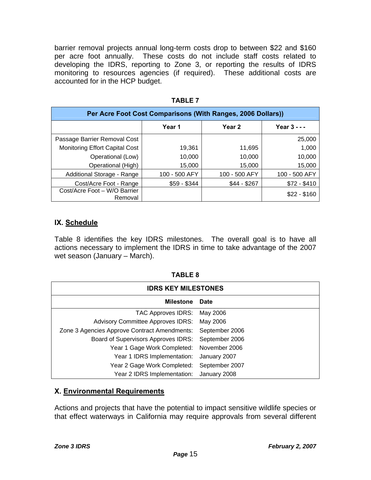barrier removal projects annual long-term costs drop to between \$22 and \$160 per acre foot annually. These costs do not include staff costs related to developing the IDRS, reporting to Zone 3, or reporting the results of IDRS monitoring to resources agencies (if required). These additional costs are accounted for in the HCP budget.

| Per Acre Foot Cost Comparisons (With Ranges, 2006 Dollars)) |               |               |               |  |  |  |
|-------------------------------------------------------------|---------------|---------------|---------------|--|--|--|
|                                                             | Year 1        | Year 2        | Year $3 - -$  |  |  |  |
| Passage Barrier Removal Cost                                |               |               | 25,000        |  |  |  |
| <b>Monitoring Effort Capital Cost</b>                       | 19,361        | 11,695        | 1,000         |  |  |  |
| Operational (Low)                                           | 10,000        | 10,000        | 10,000        |  |  |  |
| Operational (High)                                          | 15,000        | 15,000        | 15,000        |  |  |  |
| Additional Storage - Range                                  | 100 - 500 AFY | 100 - 500 AFY | 100 - 500 AFY |  |  |  |
| Cost/Acre Foot - Range                                      | $$59 - $344$  | $$44 - $267$  | $$72 - $410$  |  |  |  |
| Cost/Acre Foot - W/O Barrier<br>Removal                     |               |               | $$22 - $160$  |  |  |  |

**TABLE 7**

# **IX. Schedule**

Table 8 identifies the key IDRS milestones. The overall goal is to have all actions necessary to implement the IDRS in time to take advantage of the 2007 wet season (January – March).

| $\sim$<br>u |  |
|-------------|--|
|             |  |

| <b>IDRS KEY MILESTONES</b>                   |                |  |  |  |
|----------------------------------------------|----------------|--|--|--|
| <b>Milestone</b>                             | <b>Date</b>    |  |  |  |
| TAC Approves IDRS:                           | May 2006       |  |  |  |
| <b>Advisory Committee Approves IDRS:</b>     | May 2006       |  |  |  |
| Zone 3 Agencies Approve Contract Amendments: | September 2006 |  |  |  |
| Board of Supervisors Approves IDRS:          | September 2006 |  |  |  |
| Year 1 Gage Work Completed:                  | November 2006  |  |  |  |
| Year 1 IDRS Implementation:                  | January 2007   |  |  |  |
| Year 2 Gage Work Completed:                  | September 2007 |  |  |  |
| Year 2 IDRS Implementation:                  | January 2008   |  |  |  |

# **X. Environmental Requirements**

Actions and projects that have the potential to impact sensitive wildlife species or that effect waterways in California may require approvals from several different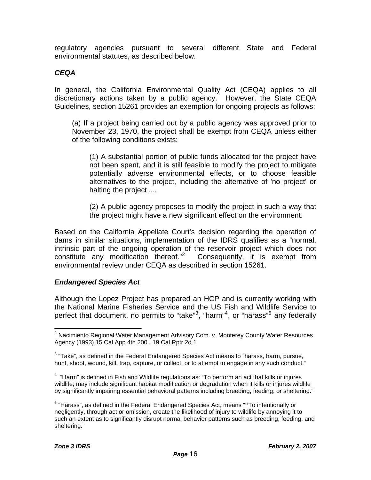<span id="page-16-0"></span>regulatory agencies pursuant to several different State and Federal environmental statutes, as described below.

### *CEQA*

In general, the California Environmental Quality Act (CEQA) applies to all discretionary actions taken by a public agency. However, the State CEQA Guidelines, section 15261 provides an exemption for ongoing projects as follows:

(a) If a project being carried out by a public agency was approved prior to November 23, 1970, the project shall be exempt from CEQA unless either of the following conditions exists:

(1) A substantial portion of public funds allocated for the project have not been spent, and it is still feasible to modify the project to mitigate potentially adverse environmental effects, or to choose feasible alternatives to the project, including the alternative of 'no project' or halting the project ....

(2) A public agency proposes to modify the project in such a way that the project might have a new significant effect on the environment.

Based on the California Appellate Court's decision regarding the operation of dams in similar situations, implementation of the IDRS qualifies as a "normal, intrinsic part of the ongoing operation of the reservoir project which does not constitute any modification thereof."<sup>[2](#page-16-0)</sup> Consequently, it is exempt from environmental review under CEQA as described in section 15261.

#### *Endangered Species Act*

Although the Lopez Project has prepared an HCP and is currently working with the National Marine Fisheries Service and the US Fish and Wildlife Service to perfect that document, no permits to "take"<sup>[3](#page-16-0)</sup>, "harm"<sup>[4](#page-16-0)</sup>, or "harass"<sup>[5](#page-16-0)</sup> any federally

 $\overline{a}$  $2$  Nacimiento Regional Water Management Advisory Com. v. Monterey County Water Resources Agency (1993) 15 Cal.App.4th 200 , 19 Cal.Rptr.2d 1

 $3$  "Take", as defined in the Federal Endangered Species Act means to "harass, harm, pursue, hunt, shoot, wound, kill, trap, capture, or collect, or to attempt to engage in any such conduct."

 $4\degree$  "Harm" is defined in Fish and Wildlife regulations as: "To perform an act that kills or injures wildlife; may include significant habitat modification or degradation when it kills or injures wildlife by significantly impairing essential behavioral patterns including breeding, feeding, or sheltering."

<sup>5</sup> "Harass", as defined in the Federal Endangered Species Act, means "**"**To intentionally or negligently, through act or omission, create the likelihood of injury to wildlife by annoying it to such an extent as to significantly disrupt normal behavior patterns such as breeding, feeding, and sheltering."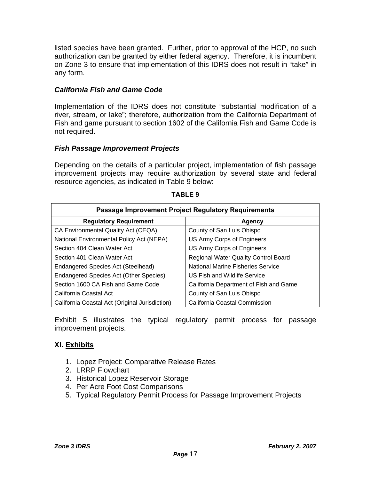listed species have been granted. Further, prior to approval of the HCP, no such authorization can be granted by either federal agency. Therefore, it is incumbent on Zone 3 to ensure that implementation of this IDRS does not result in "take" in any form.

# *California Fish and Game Code*

Implementation of the IDRS does not constitute "substantial modification of a river, stream, or lake"; therefore, authorization from the California Department of Fish and game pursuant to section 1602 of the California Fish and Game Code is not required.

#### *Fish Passage Improvement Projects*

Depending on the details of a particular project, implementation of fish passage improvement projects may require authorization by several state and federal resource agencies, as indicated in Table 9 below:

| <b>Passage Improvement Project Regulatory Requirements</b> |                                             |  |  |  |
|------------------------------------------------------------|---------------------------------------------|--|--|--|
| <b>Regulatory Requirement</b>                              | Agency                                      |  |  |  |
| CA Environmental Quality Act (CEQA)                        | County of San Luis Obispo                   |  |  |  |
| National Environmental Policy Act (NEPA)                   | US Army Corps of Engineers                  |  |  |  |
| Section 404 Clean Water Act                                | US Army Corps of Engineers                  |  |  |  |
| Section 401 Clean Water Act                                | <b>Regional Water Quality Control Board</b> |  |  |  |
| Endangered Species Act (Steelhead)                         | National Marine Fisheries Service           |  |  |  |
| Endangered Species Act (Other Species)                     | US Fish and Wildlife Service                |  |  |  |
| Section 1600 CA Fish and Game Code                         | California Department of Fish and Game      |  |  |  |
| California Coastal Act                                     | County of San Luis Obispo                   |  |  |  |
| California Coastal Act (Original Jurisdiction)             | California Coastal Commission               |  |  |  |

#### **TABLE 9**

Exhibit 5 illustrates the typical regulatory permit process for passage improvement projects.

# **XI. Exhibits**

- 1. Lopez Project: Comparative Release Rates
- 2. LRRP Flowchart
- 3. Historical Lopez Reservoir Storage
- 4. Per Acre Foot Cost Comparisons
- 5. Typical Regulatory Permit Process for Passage Improvement Projects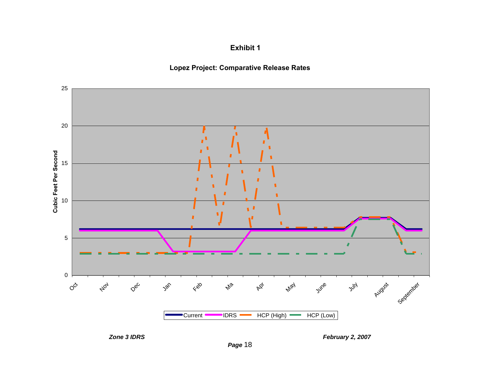**Exhibit 1**







*Zone 3 IDRS February 2, 2007*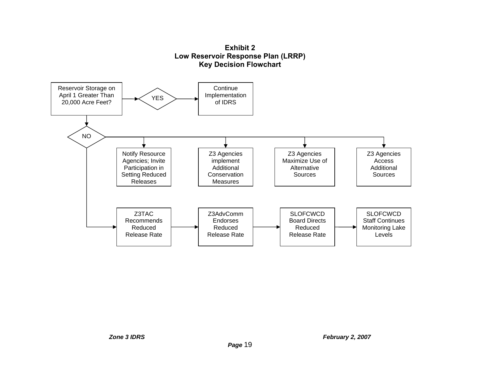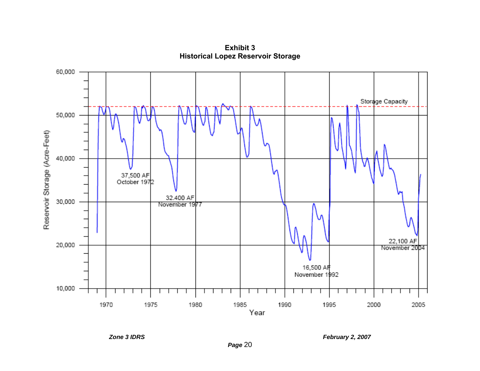

**Exhibit 3 Historical Lopez Reservoir Storage** 

*Zone 3 IDRS February 2, 2007*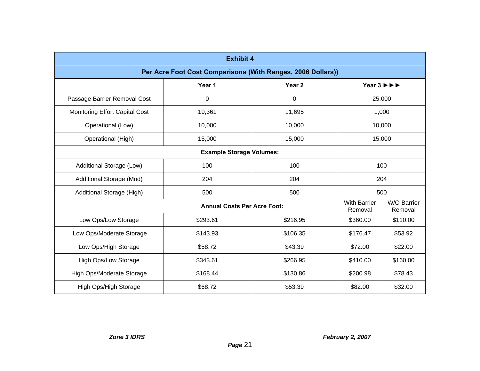| <b>Exhibit 4</b>                                            |          |                   |                                                       |                        |
|-------------------------------------------------------------|----------|-------------------|-------------------------------------------------------|------------------------|
| Per Acre Foot Cost Comparisons (With Ranges, 2006 Dollars)) |          |                   |                                                       |                        |
|                                                             | Year 1   | Year <sub>2</sub> | Year $3 \triangleright \triangleright \triangleright$ |                        |
| Passage Barrier Removal Cost                                | 0        | 0                 | 25,000                                                |                        |
| Monitoring Effort Capital Cost                              | 19,361   | 11,695            | 1,000                                                 |                        |
| Operational (Low)                                           | 10,000   | 10,000            | 10,000                                                |                        |
| Operational (High)                                          | 15,000   | 15,000            | 15,000                                                |                        |
| <b>Example Storage Volumes:</b>                             |          |                   |                                                       |                        |
| Additional Storage (Low)                                    | 100      | 100               | 100                                                   |                        |
| Additional Storage (Mod)                                    | 204      | 204               | 204                                                   |                        |
| Additional Storage (High)                                   | 500      | 500               | 500                                                   |                        |
| <b>Annual Costs Per Acre Foot:</b>                          |          |                   | <b>With Barrier</b><br>Removal                        | W/O Barrier<br>Removal |
| Low Ops/Low Storage                                         | \$293.61 | \$216.95          | \$360.00                                              | \$110.00               |
| Low Ops/Moderate Storage                                    | \$143.93 | \$106.35          | \$176.47                                              | \$53.92                |
| Low Ops/High Storage                                        | \$58.72  | \$43.39           | \$72.00                                               | \$22.00                |
| <b>High Ops/Low Storage</b>                                 | \$343.61 | \$266.95          | \$410.00                                              | \$160.00               |
| High Ops/Moderate Storage                                   | \$168.44 | \$130.86          | \$200.98                                              | \$78.43                |
| High Ops/High Storage                                       | \$68.72  | \$53.39           | \$82.00                                               | \$32.00                |